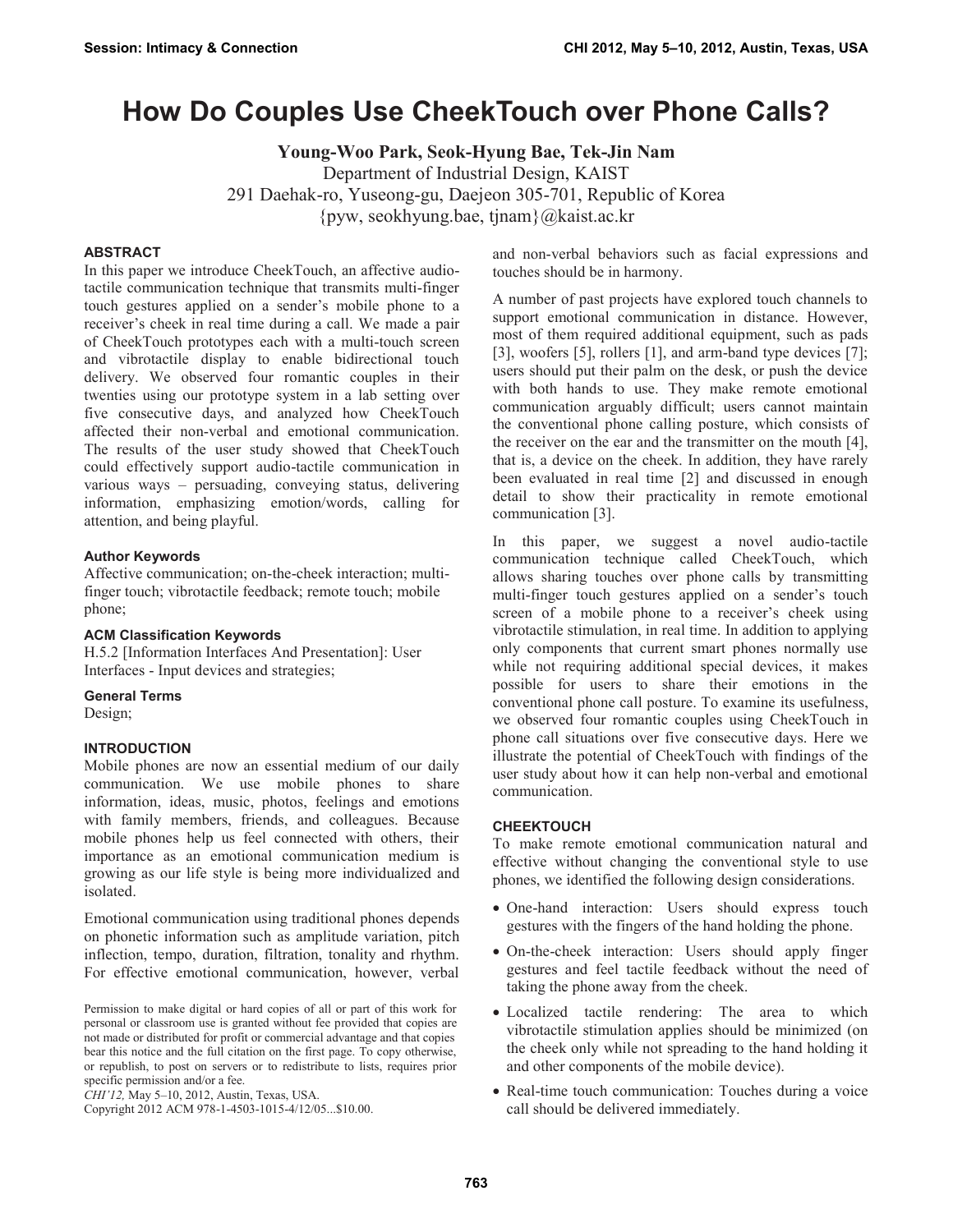# **How Do Couples Use CheekTouch over Phone Calls?**

**Young-Woo Park, Seok-Hyung Bae, Tek-Jin Nam**  Department of Industrial Design, KAIST 291 Daehak-ro, Yuseong-gu, Daejeon 305-701, Republic of Korea {pyw, seokhyung.bae, tjnam}@kaist.ac.kr

#### **ABSTRACT**

In this paper we introduce CheekTouch, an affective audiotactile communication technique that transmits multi-finger touch gestures applied on a sender's mobile phone to a receiver's cheek in real time during a call. We made a pair of CheekTouch prototypes each with a multi-touch screen and vibrotactile display to enable bidirectional touch delivery. We observed four romantic couples in their twenties using our prototype system in a lab setting over five consecutive days, and analyzed how CheekTouch affected their non-verbal and emotional communication. The results of the user study showed that CheekTouch could effectively support audio-tactile communication in various ways – persuading, conveying status, delivering information, emphasizing emotion/words, calling for attention, and being playful.

#### **Author Keywords**

Affective communication; on-the-cheek interaction; multifinger touch; vibrotactile feedback; remote touch; mobile phone;

#### **ACM Classification Keywords**

H.5.2 [Information Interfaces And Presentation]: User Interfaces - Input devices and strategies;

#### **General Terms**

Design;

#### **INTRODUCTION**

Mobile phones are now an essential medium of our daily communication. We use mobile phones to share information, ideas, music, photos, feelings and emotions with family members, friends, and colleagues. Because mobile phones help us feel connected with others, their importance as an emotional communication medium is growing as our life style is being more individualized and isolated.

Emotional communication using traditional phones depends on phonetic information such as amplitude variation, pitch inflection, tempo, duration, filtration, tonality and rhythm. For effective emotional communication, however, verbal

*CHI'12,* May 5–10, 2012, Austin, Texas, USA.

Copyright 2012 ACM 978-1-4503-1015-4/12/05...\$10.00.

and non-verbal behaviors such as facial expressions and touches should be in harmony.

A number of past projects have explored touch channels to support emotional communication in distance. However, most of them required additional equipment, such as pads [3], woofers [5], rollers [1], and arm-band type devices [7]; users should put their palm on the desk, or push the device with both hands to use. They make remote emotional communication arguably difficult; users cannot maintain the conventional phone calling posture, which consists of the receiver on the ear and the transmitter on the mouth [4], that is, a device on the cheek. In addition, they have rarely been evaluated in real time [2] and discussed in enough detail to show their practicality in remote emotional communication [3].

In this paper, we suggest a novel audio-tactile communication technique called CheekTouch, which allows sharing touches over phone calls by transmitting multi-finger touch gestures applied on a sender's touch screen of a mobile phone to a receiver's cheek using vibrotactile stimulation, in real time. In addition to applying only components that current smart phones normally use while not requiring additional special devices, it makes possible for users to share their emotions in the conventional phone call posture. To examine its usefulness, we observed four romantic couples using CheekTouch in phone call situations over five consecutive days. Here we illustrate the potential of CheekTouch with findings of the user study about how it can help non-verbal and emotional communication.

#### **CHEEKTOUCH**

To make remote emotional communication natural and effective without changing the conventional style to use phones, we identified the following design considerations.

- One-hand interaction: Users should express touch gestures with the fingers of the hand holding the phone.
- On-the-cheek interaction: Users should apply finger gestures and feel tactile feedback without the need of taking the phone away from the cheek.
- Localized tactile rendering: The area to which vibrotactile stimulation applies should be minimized (on the cheek only while not spreading to the hand holding it and other components of the mobile device).
- Real-time touch communication: Touches during a voice call should be delivered immediately.

Permission to make digital or hard copies of all or part of this work for personal or classroom use is granted without fee provided that copies are not made or distributed for profit or commercial advantage and that copies bear this notice and the full citation on the first page. To copy otherwise, or republish, to post on servers or to redistribute to lists, requires prior specific permission and/or a fee.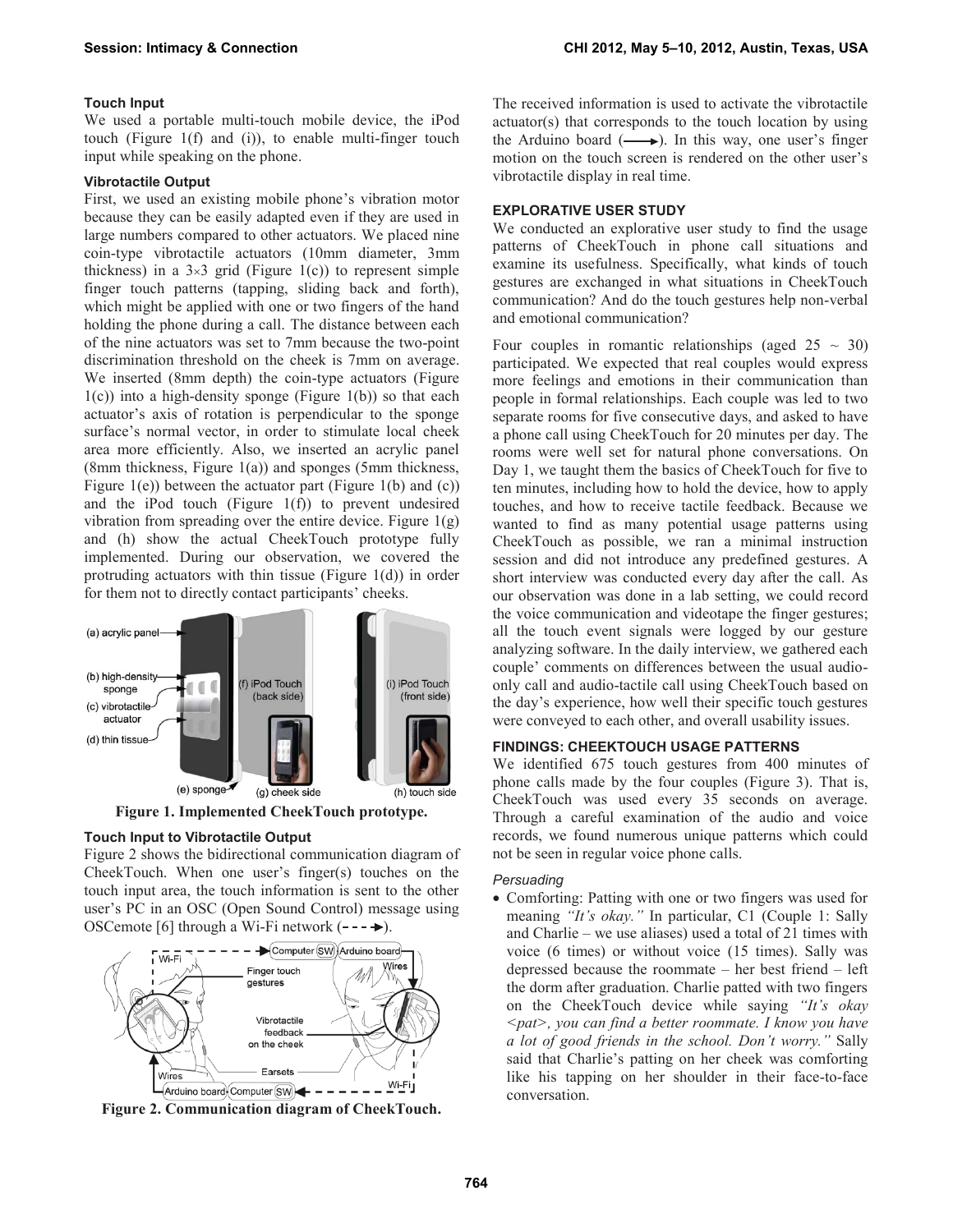# **Touch Input**

We used a portable multi-touch mobile device, the iPod touch (Figure 1(f) and (i)), to enable multi-finger touch input while speaking on the phone.

#### **Vibrotactile Output**

First, we used an existing mobile phone's vibration motor because they can be easily adapted even if they are used in large numbers compared to other actuators. We placed nine coin-type vibrotactile actuators (10mm diameter, 3mm thickness) in a  $3\times3$  grid (Figure 1(c)) to represent simple finger touch patterns (tapping, sliding back and forth), which might be applied with one or two fingers of the hand holding the phone during a call. The distance between each of the nine actuators was set to 7mm because the two-point discrimination threshold on the cheek is 7mm on average. We inserted (8mm depth) the coin-type actuators (Figure  $1(c)$ ) into a high-density sponge (Figure 1(b)) so that each actuator's axis of rotation is perpendicular to the sponge surface's normal vector, in order to stimulate local cheek area more efficiently. Also, we inserted an acrylic panel (8mm thickness, Figure 1(a)) and sponges (5mm thickness, Figure 1(e)) between the actuator part (Figure 1(b) and (c)) and the iPod touch (Figure  $1(f)$ ) to prevent undesired vibration from spreading over the entire device. Figure  $1(g)$ and (h) show the actual CheekTouch prototype fully implemented. During our observation, we covered the protruding actuators with thin tissue (Figure  $1(d)$ ) in order for them not to directly contact participants' cheeks.



**Figure 1. Implemented CheekTouch prototype.** 

# **Touch Input to Vibrotactile Output**

Figure 2 shows the bidirectional communication diagram of CheekTouch. When one user's finger(s) touches on the touch input area, the touch information is sent to the other user's PC in an OSC (Open Sound Control) message using OSCemote [6] through a Wi-Fi network  $(- \rightarrow \rightarrow)$ .



**Figure 2. Communication diagram of CheekTouch.**

The received information is used to activate the vibrotactile actuator(s) that corresponds to the touch location by using the Arduino board  $(\longrightarrow)$ . In this way, one user's finger motion on the touch screen is rendered on the other user's vibrotactile display in real time.

# **EXPLORATIVE USER STUDY**

We conducted an explorative user study to find the usage patterns of CheekTouch in phone call situations and examine its usefulness. Specifically, what kinds of touch gestures are exchanged in what situations in CheekTouch communication? And do the touch gestures help non-verbal and emotional communication?

Four couples in romantic relationships (aged  $25 \sim 30$ ) participated. We expected that real couples would express more feelings and emotions in their communication than people in formal relationships. Each couple was led to two separate rooms for five consecutive days, and asked to have a phone call using CheekTouch for 20 minutes per day. The rooms were well set for natural phone conversations. On Day 1, we taught them the basics of CheekTouch for five to ten minutes, including how to hold the device, how to apply touches, and how to receive tactile feedback. Because we wanted to find as many potential usage patterns using CheekTouch as possible, we ran a minimal instruction session and did not introduce any predefined gestures. A short interview was conducted every day after the call. As our observation was done in a lab setting, we could record the voice communication and videotape the finger gestures; all the touch event signals were logged by our gesture analyzing software. In the daily interview, we gathered each couple' comments on differences between the usual audioonly call and audio-tactile call using CheekTouch based on the day's experience, how well their specific touch gestures were conveyed to each other, and overall usability issues.

# **FINDINGS: CHEEKTOUCH USAGE PATTERNS**

We identified 675 touch gestures from 400 minutes of phone calls made by the four couples (Figure 3). That is, CheekTouch was used every 35 seconds on average. Through a careful examination of the audio and voice records, we found numerous unique patterns which could not be seen in regular voice phone calls.

#### *Persuading*

• Comforting: Patting with one or two fingers was used for meaning *"It's okay."* In particular, C1 (Couple 1: Sally and Charlie – we use aliases) used a total of 21 times with voice (6 times) or without voice (15 times). Sally was depressed because the roommate – her best friend – left the dorm after graduation. Charlie patted with two fingers on the CheekTouch device while saying *"It's okay <pat>, you can find a better roommate. I know you have a lot of good friends in the school. Don't worry."* Sally said that Charlie's patting on her cheek was comforting like his tapping on her shoulder in their face-to-face conversation.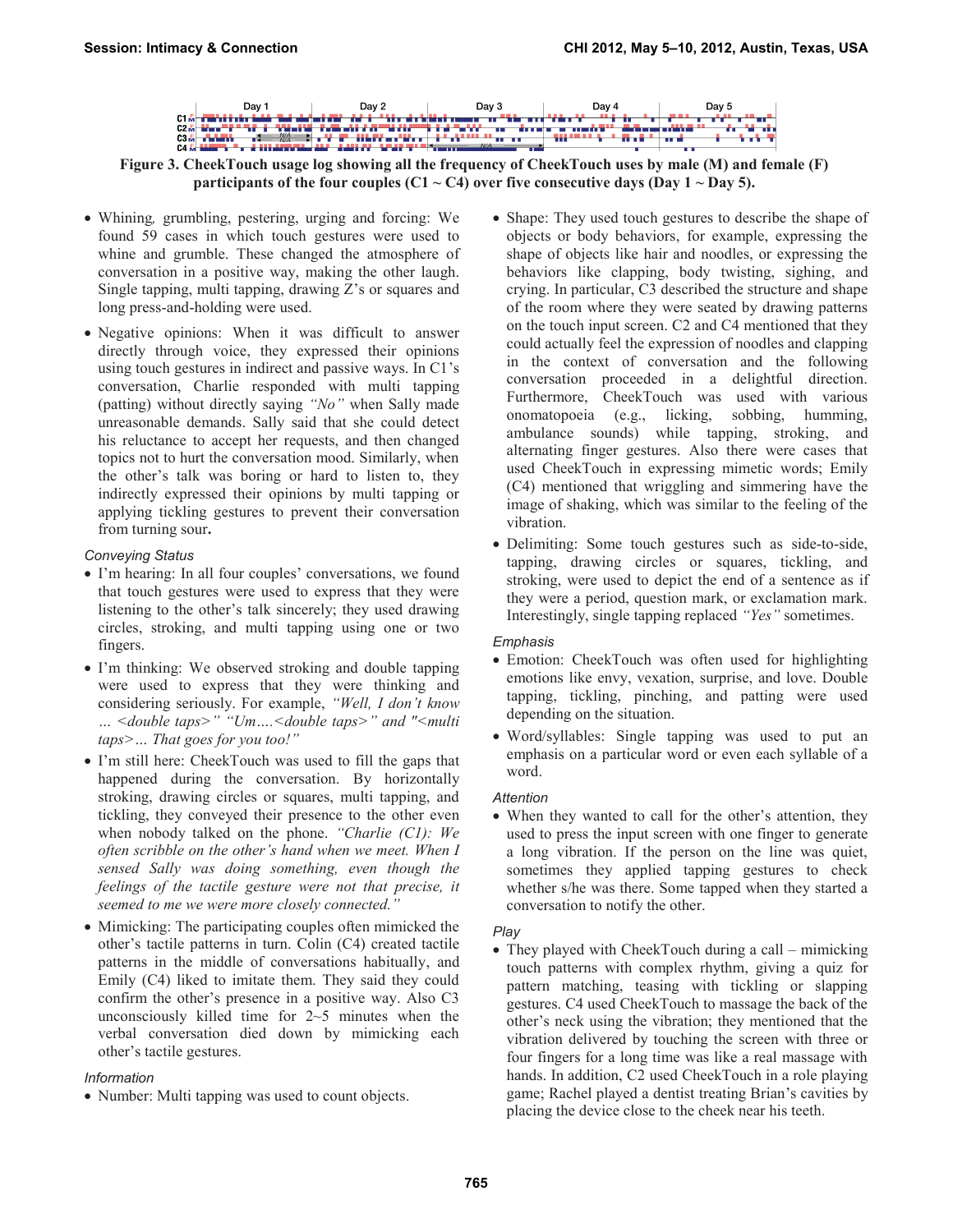Day 2 Day 1 Day 3 Day 4 Day 5 **JULIE 1988**  $N/A$   $\rightarrow$ the Planet Marc ÷  $\mathbf{u}$  and  $\mathbf{u}$ **JULIA VIEW** d illderen

**Figure 3. CheekTouch usage log showing all the frequency of CheekTouch uses by male (M) and female (F) participants of the four couples (C1**  $\sim$  **C4) over five consecutive days (Day 1**  $\sim$  **Day 5).** 

- x Whining*,* grumbling, pestering, urging and forcing: We found 59 cases in which touch gestures were used to whine and grumble. These changed the atmosphere of conversation in a positive way, making the other laugh. Single tapping, multi tapping, drawing Z's or squares and long press-and-holding were used.
- Negative opinions: When it was difficult to answer directly through voice, they expressed their opinions using touch gestures in indirect and passive ways. In C1's conversation, Charlie responded with multi tapping (patting) without directly saying *"No"* when Sally made unreasonable demands. Sally said that she could detect his reluctance to accept her requests, and then changed topics not to hurt the conversation mood. Similarly, when the other's talk was boring or hard to listen to, they indirectly expressed their opinions by multi tapping or applying tickling gestures to prevent their conversation from turning sour**.**

# *Conveying Status*

- I'm hearing: In all four couples' conversations, we found that touch gestures were used to express that they were listening to the other's talk sincerely; they used drawing circles, stroking, and multi tapping using one or two fingers.
- I'm thinking: We observed stroking and double tapping were used to express that they were thinking and considering seriously. For example, *"Well, I don't know … <double taps>" "Um….<double taps>" and "<multi taps>… That goes for you too!"*
- I'm still here: CheekTouch was used to fill the gaps that happened during the conversation. By horizontally stroking, drawing circles or squares, multi tapping, and tickling, they conveyed their presence to the other even when nobody talked on the phone. *"Charlie (C1): We often scribble on the other's hand when we meet. When I sensed Sally was doing something, even though the feelings of the tactile gesture were not that precise, it seemed to me we were more closely connected."*
- Mimicking: The participating couples often mimicked the other's tactile patterns in turn. Colin (C4) created tactile patterns in the middle of conversations habitually, and Emily (C4) liked to imitate them. They said they could confirm the other's presence in a positive way. Also C3 unconsciously killed time for  $2~5$  minutes when the verbal conversation died down by mimicking each other's tactile gestures.

# *Information*

• Number: Multi tapping was used to count objects.

- Shape: They used touch gestures to describe the shape of objects or body behaviors, for example, expressing the shape of objects like hair and noodles, or expressing the behaviors like clapping, body twisting, sighing, and crying. In particular, C3 described the structure and shape of the room where they were seated by drawing patterns on the touch input screen. C2 and C4 mentioned that they could actually feel the expression of noodles and clapping in the context of conversation and the following conversation proceeded in a delightful direction. Furthermore, CheekTouch was used with various onomatopoeia (e.g., licking, sobbing, humming, ambulance sounds) while tapping, stroking, and alternating finger gestures. Also there were cases that used CheekTouch in expressing mimetic words; Emily (C4) mentioned that wriggling and simmering have the image of shaking, which was similar to the feeling of the vibration.
- Delimiting: Some touch gestures such as side-to-side, tapping, drawing circles or squares, tickling, and stroking, were used to depict the end of a sentence as if they were a period, question mark, or exclamation mark. Interestingly, single tapping replaced *"Yes"* sometimes.

# *Emphasis*

- Emotion: CheekTouch was often used for highlighting emotions like envy, vexation, surprise, and love. Double tapping, tickling, pinching, and patting were used depending on the situation.
- Word/syllables: Single tapping was used to put an emphasis on a particular word or even each syllable of a word.

# *Attention*

• When they wanted to call for the other's attention, they used to press the input screen with one finger to generate a long vibration. If the person on the line was quiet, sometimes they applied tapping gestures to check whether s/he was there. Some tapped when they started a conversation to notify the other.

#### *Play*

• They played with CheekTouch during a call – mimicking touch patterns with complex rhythm, giving a quiz for pattern matching, teasing with tickling or slapping gestures. C4 used CheekTouch to massage the back of the other's neck using the vibration; they mentioned that the vibration delivered by touching the screen with three or four fingers for a long time was like a real massage with hands. In addition, C2 used CheekTouch in a role playing game; Rachel played a dentist treating Brian's cavities by placing the device close to the cheek near his teeth.